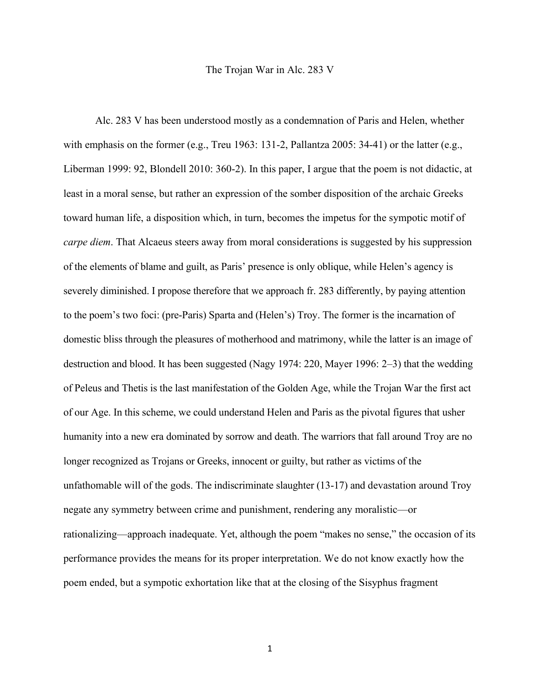## The Trojan War in Alc. 283 V

Alc. 283 V has been understood mostly as a condemnation of Paris and Helen, whether with emphasis on the former (e.g., Treu 1963: 131-2, Pallantza 2005: 34-41) or the latter (e.g., Liberman 1999: 92, Blondell 2010: 360-2). In this paper, I argue that the poem is not didactic, at least in a moral sense, but rather an expression of the somber disposition of the archaic Greeks toward human life, a disposition which, in turn, becomes the impetus for the sympotic motif of *carpe diem*. That Alcaeus steers away from moral considerations is suggested by his suppression of the elements of blame and guilt, as Paris' presence is only oblique, while Helen's agency is severely diminished. I propose therefore that we approach fr. 283 differently, by paying attention to the poem's two foci: (pre-Paris) Sparta and (Helen's) Troy. The former is the incarnation of domestic bliss through the pleasures of motherhood and matrimony, while the latter is an image of destruction and blood. It has been suggested (Nagy 1974: 220, Mayer 1996: 2–3) that the wedding of Peleus and Thetis is the last manifestation of the Golden Age, while the Trojan War the first act of our Age. In this scheme, we could understand Helen and Paris as the pivotal figures that usher humanity into a new era dominated by sorrow and death. The warriors that fall around Troy are no longer recognized as Trojans or Greeks, innocent or guilty, but rather as victims of the unfathomable will of the gods. The indiscriminate slaughter (13-17) and devastation around Troy negate any symmetry between crime and punishment, rendering any moralistic—or rationalizing—approach inadequate. Yet, although the poem "makes no sense," the occasion of its performance provides the means for its proper interpretation. We do not know exactly how the poem ended, but a sympotic exhortation like that at the closing of the Sisyphus fragment